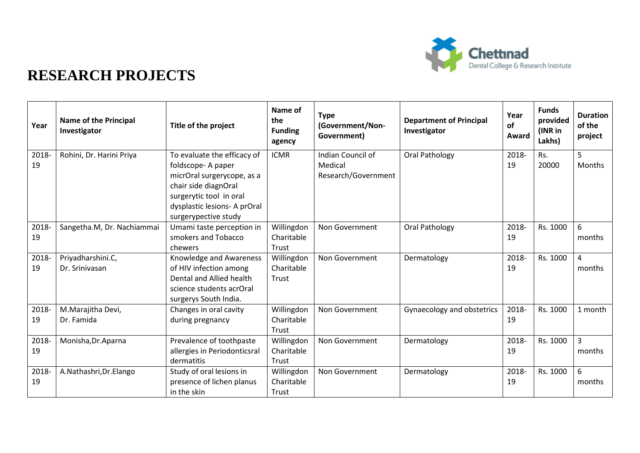

| Year        | <b>Name of the Principal</b><br>Investigator | Title of the project                                                                                                                                                                      | Name of<br>the<br><b>Funding</b><br>agency | <b>Type</b><br>(Government/Non-<br>Government)      | <b>Department of Principal</b><br>Investigator | Year<br><b>of</b><br>Award | <b>Funds</b><br>provided<br>(INR in<br>Lakhs) | <b>Duration</b><br>of the<br>project |
|-------------|----------------------------------------------|-------------------------------------------------------------------------------------------------------------------------------------------------------------------------------------------|--------------------------------------------|-----------------------------------------------------|------------------------------------------------|----------------------------|-----------------------------------------------|--------------------------------------|
| 2018-<br>19 | Rohini, Dr. Harini Priya                     | To evaluate the efficacy of<br>foldscope-A paper<br>micrOral surgerycope, as a<br>chair side diagnOral<br>surgerytic tool in oral<br>dysplastic lesions- A prOral<br>surgerypective study | <b>ICMR</b>                                | Indian Council of<br>Medical<br>Research/Government | Oral Pathology                                 | 2018-<br>19                | Rs.<br>20000                                  | 5<br><b>Months</b>                   |
| 2018-<br>19 | Sangetha.M, Dr. Nachiammai                   | Umami taste perception in<br>smokers and Tobacco<br>chewers                                                                                                                               | Willingdon<br>Charitable<br>Trust          | Non Government                                      | Oral Pathology                                 | 2018-<br>19                | Rs. 1000                                      | 6<br>months                          |
| 2018-<br>19 | Priyadharshini.C,<br>Dr. Srinivasan          | Knowledge and Awareness<br>of HIV infection among<br>Dental and Allied health<br>science students acrOral<br>surgerys South India.                                                        | Willingdon<br>Charitable<br>Trust          | Non Government                                      | Dermatology                                    | 2018-<br>19                | Rs. 1000                                      | $\overline{4}$<br>months             |
| 2018-<br>19 | M.Marajitha Devi,<br>Dr. Famida              | Changes in oral cavity<br>during pregnancy                                                                                                                                                | Willingdon<br>Charitable<br>Trust          | Non Government                                      | Gynaecology and obstetrics                     | 2018-<br>19                | Rs. 1000                                      | 1 month                              |
| 2018-<br>19 | Monisha, Dr. Aparna                          | Prevalence of toothpaste<br>allergies in Periodonticsral<br>dermatitis                                                                                                                    | Willingdon<br>Charitable<br>Trust          | Non Government                                      | Dermatology                                    | 2018-<br>19                | Rs. 1000                                      | $\overline{3}$<br>months             |
| 2018-<br>19 | A.Nathashri, Dr.Elango                       | Study of oral lesions in<br>presence of lichen planus<br>in the skin                                                                                                                      | Willingdon<br>Charitable<br>Trust          | Non Government                                      | Dermatology                                    | 2018-<br>19                | Rs. 1000                                      | 6<br>months                          |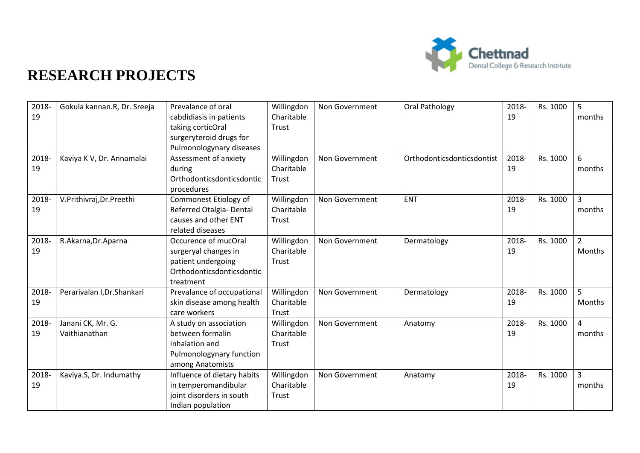

| 2018-<br>19 | Gokula kannan.R, Dr. Sreeja        | Prevalance of oral<br>cabdidiasis in patients<br>taking corticOral<br>surgeryteroid drugs for<br>Pulmonologynary diseases | Willingdon<br>Charitable<br>Trust | Non Government | Oral Pathology             | 2018-<br>19 | Rs. 1000 | 5<br>months              |
|-------------|------------------------------------|---------------------------------------------------------------------------------------------------------------------------|-----------------------------------|----------------|----------------------------|-------------|----------|--------------------------|
| 2018-<br>19 | Kaviya K V, Dr. Annamalai          | Assessment of anxiety<br>during<br>Orthodonticsdonticsdontic<br>procedures                                                | Willingdon<br>Charitable<br>Trust | Non Government | Orthodonticsdonticsdontist | 2018-<br>19 | Rs. 1000 | 6<br>months              |
| 2018-<br>19 | V.Prithivraj, Dr.Preethi           | Commonest Etiology of<br>Referred Otalgia- Dental<br>causes and other ENT<br>related diseases                             | Willingdon<br>Charitable<br>Trust | Non Government | <b>ENT</b>                 | 2018-<br>19 | Rs. 1000 | $\overline{3}$<br>months |
| 2018-<br>19 | R.Akarna, Dr.Aparna                | Occurence of mucOral<br>surgeryal changes in<br>patient undergoing<br>Orthodonticsdonticsdontic<br>treatment              | Willingdon<br>Charitable<br>Trust | Non Government | Dermatology                | 2018-<br>19 | Rs. 1000 | $\overline{2}$<br>Months |
| 2018-<br>19 | Perarivalan I, Dr. Shankari        | Prevalance of occupational<br>skin disease among health<br>care workers                                                   | Willingdon<br>Charitable<br>Trust | Non Government | Dermatology                | 2018-<br>19 | Rs. 1000 | 5<br>Months              |
| 2018-<br>19 | Janani CK, Mr. G.<br>Vaithianathan | A study on association<br>between formalin<br>inhalation and<br>Pulmonologynary function<br>among Anatomists              | Willingdon<br>Charitable<br>Trust | Non Government | Anatomy                    | 2018-<br>19 | Rs. 1000 | $\overline{4}$<br>months |
| 2018-<br>19 | Kaviya.S, Dr. Indumathy            | Influence of dietary habits<br>in temperomandibular<br>joint disorders in south<br>Indian population                      | Willingdon<br>Charitable<br>Trust | Non Government | Anatomy                    | 2018-<br>19 | Rs. 1000 | $\overline{3}$<br>months |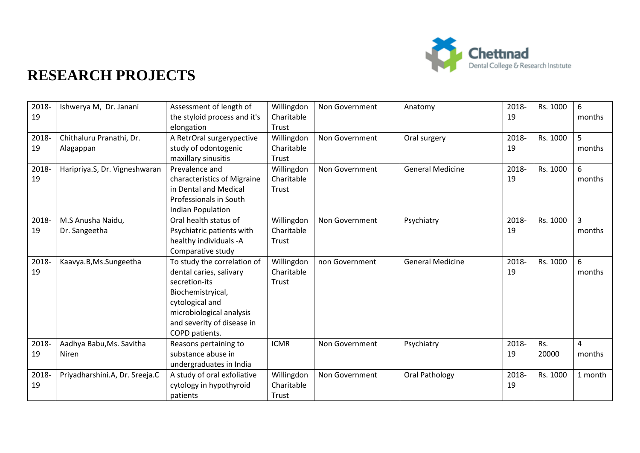

| 2018-       | Ishwerya M, Dr. Janani         | Assessment of length of                         | Willingdon               | Non Government | Anatomy                 | 2018- | Rs. 1000 | 6              |
|-------------|--------------------------------|-------------------------------------------------|--------------------------|----------------|-------------------------|-------|----------|----------------|
| 19          |                                | the styloid process and it's<br>elongation      | Charitable<br>Trust      |                |                         | 19    |          | months         |
| 2018-       | Chithaluru Pranathi, Dr.       | A RetrOral surgerypective                       | Willingdon               | Non Government | Oral surgery            | 2018- | Rs. 1000 | 5              |
| 19          |                                | study of odontogenic                            | Charitable               |                |                         | 19    |          | months         |
|             | Alagappan                      |                                                 |                          |                |                         |       |          |                |
|             |                                | maxillary sinusitis<br>Prevalence and           | Trust                    | Non Government | <b>General Medicine</b> | 2018- | Rs. 1000 | 6              |
| 2018-<br>19 | Haripriya.S, Dr. Vigneshwaran  |                                                 | Willingdon<br>Charitable |                |                         | 19    |          | months         |
|             |                                | characteristics of Migraine                     |                          |                |                         |       |          |                |
|             |                                | in Dental and Medical<br>Professionals in South | Trust                    |                |                         |       |          |                |
|             |                                |                                                 |                          |                |                         |       |          |                |
|             |                                | Indian Population                               |                          |                |                         |       |          |                |
| 2018-       | M.S Anusha Naidu,              | Oral health status of                           | Willingdon               | Non Government | Psychiatry              | 2018- | Rs. 1000 | $\overline{3}$ |
| 19          | Dr. Sangeetha                  | Psychiatric patients with                       | Charitable               |                |                         | 19    |          | months         |
|             |                                | healthy individuals -A                          | Trust                    |                |                         |       |          |                |
|             |                                | Comparative study                               |                          |                |                         |       |          |                |
| 2018-       | Kaavya.B, Ms.Sungeetha         | To study the correlation of                     | Willingdon               | non Government | <b>General Medicine</b> | 2018- | Rs. 1000 | 6              |
| 19          |                                | dental caries, salivary                         | Charitable               |                |                         | 19    |          | months         |
|             |                                | secretion-its                                   | Trust                    |                |                         |       |          |                |
|             |                                | Biochemistryical,                               |                          |                |                         |       |          |                |
|             |                                | cytological and                                 |                          |                |                         |       |          |                |
|             |                                | microbiological analysis                        |                          |                |                         |       |          |                |
|             |                                | and severity of disease in                      |                          |                |                         |       |          |                |
|             |                                | COPD patients.                                  |                          |                |                         |       |          |                |
| 2018-       | Aadhya Babu, Ms. Savitha       | Reasons pertaining to                           | <b>ICMR</b>              | Non Government | Psychiatry              | 2018- | Rs.      | $\overline{4}$ |
| 19          | Niren                          | substance abuse in                              |                          |                |                         | 19    | 20000    | months         |
|             |                                | undergraduates in India                         |                          |                |                         |       |          |                |
| 2018-       | Priyadharshini.A, Dr. Sreeja.C | A study of oral exfoliative                     | Willingdon               | Non Government | Oral Pathology          | 2018- | Rs. 1000 | 1 month        |
| 19          |                                | cytology in hypothyroid                         | Charitable               |                |                         | 19    |          |                |
|             |                                | patients                                        | Trust                    |                |                         |       |          |                |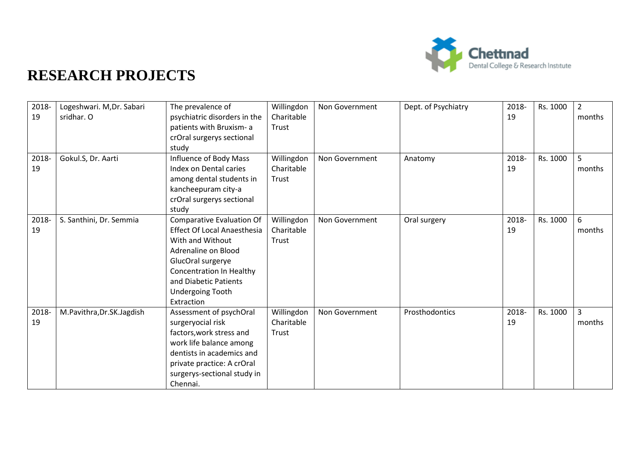

| 2018-<br>19 | Logeshwari. M, Dr. Sabari<br>sridhar. O | The prevalence of<br>psychiatric disorders in the<br>patients with Bruxism- a<br>crOral surgerys sectional<br>study                                                                                                                         | Willingdon<br>Charitable<br>Trust | Non Government | Dept. of Psychiatry | 2018-<br>19 | Rs. 1000 | $\overline{2}$<br>months |
|-------------|-----------------------------------------|---------------------------------------------------------------------------------------------------------------------------------------------------------------------------------------------------------------------------------------------|-----------------------------------|----------------|---------------------|-------------|----------|--------------------------|
| 2018-<br>19 | Gokul.S, Dr. Aarti                      | Influence of Body Mass<br>Index on Dental caries<br>among dental students in<br>kancheepuram city-a<br>crOral surgerys sectional<br>study                                                                                                   | Willingdon<br>Charitable<br>Trust | Non Government | Anatomy             | 2018-<br>19 | Rs. 1000 | $\overline{5}$<br>months |
| 2018-<br>19 | S. Santhini, Dr. Semmia                 | <b>Comparative Evaluation Of</b><br><b>Effect Of Local Anaesthesia</b><br>With and Without<br>Adrenaline on Blood<br>GlucOral surgerye<br><b>Concentration In Healthy</b><br>and Diabetic Patients<br><b>Undergoing Tooth</b><br>Extraction | Willingdon<br>Charitable<br>Trust | Non Government | Oral surgery        | 2018-<br>19 | Rs. 1000 | 6<br>months              |
| 2018-<br>19 | M.Pavithra, Dr.SK.Jagdish               | Assessment of psychOral<br>surgeryocial risk<br>factors, work stress and<br>work life balance among<br>dentists in academics and<br>private practice: A crOral<br>surgerys-sectional study in<br>Chennai.                                   | Willingdon<br>Charitable<br>Trust | Non Government | Prosthodontics      | 2018-<br>19 | Rs. 1000 | $\overline{3}$<br>months |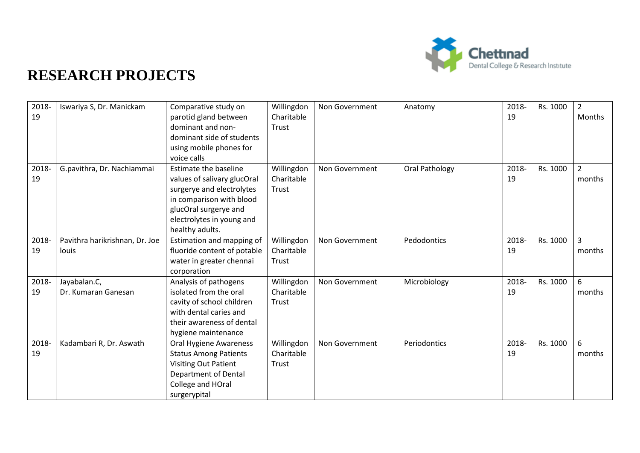

| 2018-<br>19 | Iswariya S, Dr. Manickam                | Comparative study on<br>parotid gland between<br>dominant and non-<br>dominant side of students<br>using mobile phones for<br>voice calls                                                     | Willingdon<br>Charitable<br>Trust | Non Government | Anatomy        | 2018-<br>19 | Rs. 1000 | $\overline{2}$<br>Months |
|-------------|-----------------------------------------|-----------------------------------------------------------------------------------------------------------------------------------------------------------------------------------------------|-----------------------------------|----------------|----------------|-------------|----------|--------------------------|
| 2018-<br>19 | G.pavithra, Dr. Nachiammai              | <b>Estimate the baseline</b><br>values of salivary glucOral<br>surgerye and electrolytes<br>in comparison with blood<br>glucOral surgerye and<br>electrolytes in young and<br>healthy adults. | Willingdon<br>Charitable<br>Trust | Non Government | Oral Pathology | 2018-<br>19 | Rs. 1000 | $\overline{2}$<br>months |
| 2018-<br>19 | Pavithra harikrishnan, Dr. Joe<br>louis | Estimation and mapping of<br>fluoride content of potable<br>water in greater chennai<br>corporation                                                                                           | Willingdon<br>Charitable<br>Trust | Non Government | Pedodontics    | 2018-<br>19 | Rs. 1000 | $\overline{3}$<br>months |
| 2018-<br>19 | Jayabalan.C,<br>Dr. Kumaran Ganesan     | Analysis of pathogens<br>isolated from the oral<br>cavity of school children<br>with dental caries and<br>their awareness of dental<br>hygiene maintenance                                    | Willingdon<br>Charitable<br>Trust | Non Government | Microbiology   | 2018-<br>19 | Rs. 1000 | 6<br>months              |
| 2018-<br>19 | Kadambari R, Dr. Aswath                 | Oral Hygiene Awareness<br><b>Status Among Patients</b><br><b>Visiting Out Patient</b><br><b>Department of Dental</b><br>College and HOral<br>surgerypital                                     | Willingdon<br>Charitable<br>Trust | Non Government | Periodontics   | 2018-<br>19 | Rs. 1000 | 6<br>months              |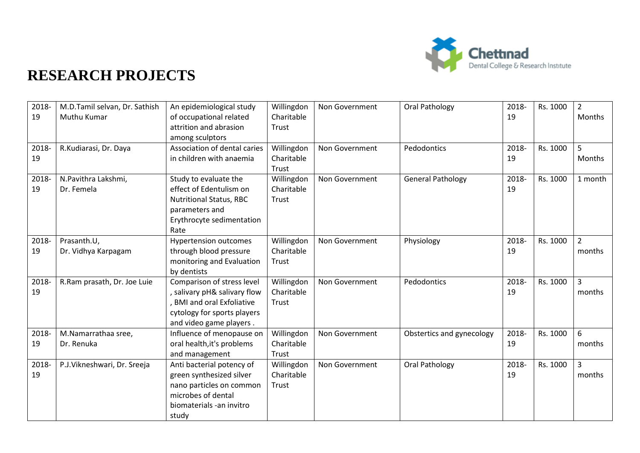

| 2018-<br>19 | M.D.Tamil selvan, Dr. Sathish<br>Muthu Kumar | An epidemiological study<br>of occupational related<br>attrition and abrasion<br>among sculptors                                                      | Willingdon<br>Charitable<br>Trust | Non Government | Oral Pathology            | 2018-<br>19 | Rs. 1000 | $\overline{2}$<br>Months |
|-------------|----------------------------------------------|-------------------------------------------------------------------------------------------------------------------------------------------------------|-----------------------------------|----------------|---------------------------|-------------|----------|--------------------------|
| 2018-<br>19 | R.Kudiarasi, Dr. Daya                        | Association of dental caries<br>in children with anaemia                                                                                              | Willingdon<br>Charitable<br>Trust | Non Government | Pedodontics               | 2018-<br>19 | Rs. 1000 | 5<br>Months              |
| 2018-<br>19 | N.Pavithra Lakshmi,<br>Dr. Femela            | Study to evaluate the<br>effect of Edentulism on<br><b>Nutritional Status, RBC</b><br>parameters and<br>Erythrocyte sedimentation<br>Rate             | Willingdon<br>Charitable<br>Trust | Non Government | <b>General Pathology</b>  | 2018-<br>19 | Rs. 1000 | 1 month                  |
| 2018-<br>19 | Prasanth.U,<br>Dr. Vidhya Karpagam           | <b>Hypertension outcomes</b><br>through blood pressure<br>monitoring and Evaluation<br>by dentists                                                    | Willingdon<br>Charitable<br>Trust | Non Government | Physiology                | 2018-<br>19 | Rs. 1000 | $\overline{2}$<br>months |
| 2018-<br>19 | R.Ram prasath, Dr. Joe Luie                  | Comparison of stress level<br>salivary pH& salivary flow<br><b>BMI and oral Exfoliative</b><br>cytology for sports players<br>and video game players. | Willingdon<br>Charitable<br>Trust | Non Government | Pedodontics               | 2018-<br>19 | Rs. 1000 | $\overline{3}$<br>months |
| 2018-<br>19 | M.Namarrathaa sree,<br>Dr. Renuka            | Influence of menopause on<br>oral health, it's problems<br>and management                                                                             | Willingdon<br>Charitable<br>Trust | Non Government | Obstertics and gynecology | 2018-<br>19 | Rs. 1000 | 6<br>months              |
| 2018-<br>19 | P.J.Vikneshwari, Dr. Sreeja                  | Anti bacterial potency of<br>green synthesized silver<br>nano particles on common<br>microbes of dental<br>biomaterials -an invitro<br>study          | Willingdon<br>Charitable<br>Trust | Non Government | Oral Pathology            | 2018-<br>19 | Rs. 1000 | $\overline{3}$<br>months |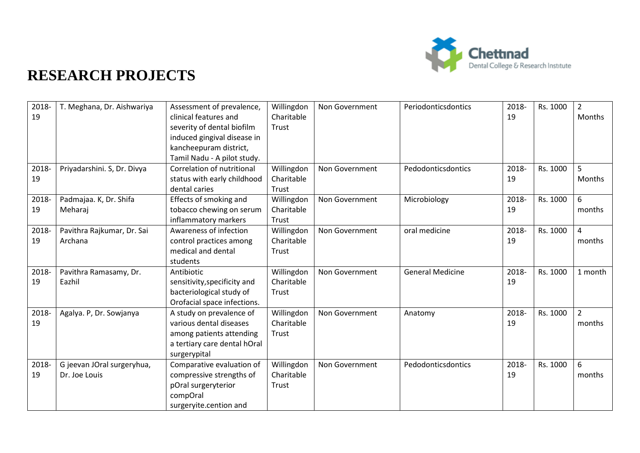

| 2018- | T. Meghana, Dr. Aishwariya  | Assessment of prevalence,    | Willingdon | Non Government | Periodonticsdontics     | 2018- | Rs. 1000 | $\overline{2}$ |
|-------|-----------------------------|------------------------------|------------|----------------|-------------------------|-------|----------|----------------|
| 19    |                             | clinical features and        | Charitable |                |                         | 19    |          | Months         |
|       |                             | severity of dental biofilm   | Trust      |                |                         |       |          |                |
|       |                             | induced gingival disease in  |            |                |                         |       |          |                |
|       |                             | kancheepuram district,       |            |                |                         |       |          |                |
|       |                             | Tamil Nadu - A pilot study.  |            |                |                         |       |          |                |
| 2018- | Priyadarshini. S, Dr. Divya | Correlation of nutritional   | Willingdon | Non Government | Pedodonticsdontics      | 2018- | Rs. 1000 | $\overline{5}$ |
| 19    |                             | status with early childhood  | Charitable |                |                         | 19    |          | Months         |
|       |                             | dental caries                | Trust      |                |                         |       |          |                |
| 2018- | Padmajaa. K, Dr. Shifa      | Effects of smoking and       | Willingdon | Non Government | Microbiology            | 2018- | Rs. 1000 | 6              |
| 19    | Meharaj                     | tobacco chewing on serum     | Charitable |                |                         | 19    |          | months         |
|       |                             | inflammatory markers         | Trust      |                |                         |       |          |                |
| 2018- | Pavithra Rajkumar, Dr. Sai  | Awareness of infection       | Willingdon | Non Government | oral medicine           | 2018- | Rs. 1000 | $\overline{4}$ |
| 19    | Archana                     | control practices among      | Charitable |                |                         | 19    |          | months         |
|       |                             | medical and dental           | Trust      |                |                         |       |          |                |
|       |                             | students                     |            |                |                         |       |          |                |
| 2018- | Pavithra Ramasamy, Dr.      | Antibiotic                   | Willingdon | Non Government | <b>General Medicine</b> | 2018- | Rs. 1000 | 1 month        |
| 19    | Eazhil                      | sensitivity, specificity and | Charitable |                |                         | 19    |          |                |
|       |                             | bacteriological study of     | Trust      |                |                         |       |          |                |
|       |                             | Orofacial space infections.  |            |                |                         |       |          |                |
| 2018- | Agalya. P, Dr. Sowjanya     | A study on prevalence of     | Willingdon | Non Government | Anatomy                 | 2018- | Rs. 1000 | $\overline{2}$ |
| 19    |                             | various dental diseases      | Charitable |                |                         | 19    |          | months         |
|       |                             | among patients attending     | Trust      |                |                         |       |          |                |
|       |                             | a tertiary care dental hOral |            |                |                         |       |          |                |
|       |                             | surgerypital                 |            |                |                         |       |          |                |
| 2018- | G jeevan JOral surgeryhua,  | Comparative evaluation of    | Willingdon | Non Government | Pedodonticsdontics      | 2018- | Rs. 1000 | 6              |
| 19    | Dr. Joe Louis               | compressive strengths of     | Charitable |                |                         | 19    |          | months         |
|       |                             | pOral surgeryterior          | Trust      |                |                         |       |          |                |
|       |                             | compOral                     |            |                |                         |       |          |                |
|       |                             | surgeryite.cention and       |            |                |                         |       |          |                |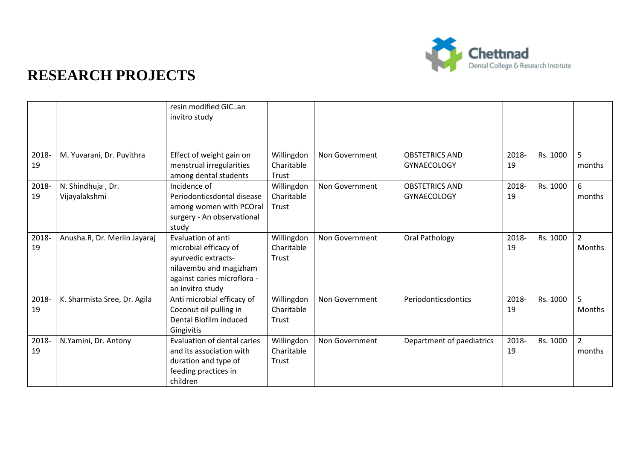

|             |                                    | resin modified GICan<br>invitro study                                                                                                           |                                   |                |                                             |             |          |                          |
|-------------|------------------------------------|-------------------------------------------------------------------------------------------------------------------------------------------------|-----------------------------------|----------------|---------------------------------------------|-------------|----------|--------------------------|
| 2018-<br>19 | M. Yuvarani, Dr. Puvithra          | Effect of weight gain on<br>menstrual irregularities<br>among dental students                                                                   | Willingdon<br>Charitable<br>Trust | Non Government | <b>OBSTETRICS AND</b><br><b>GYNAECOLOGY</b> | 2018-<br>19 | Rs. 1000 | 5<br>months              |
| 2018-<br>19 | N. Shindhuja, Dr.<br>Vijayalakshmi | Incidence of<br>Periodonticsdontal disease<br>among women with PCOral<br>surgery - An observational<br>study                                    | Willingdon<br>Charitable<br>Trust | Non Government | <b>OBSTETRICS AND</b><br><b>GYNAECOLOGY</b> | 2018-<br>19 | Rs. 1000 | 6<br>months              |
| 2018-<br>19 | Anusha.R, Dr. Merlin Jayaraj       | Evaluation of anti<br>microbial efficacy of<br>ayurvedic extracts-<br>nilavembu and magizham<br>against caries microflora -<br>an invitro study | Willingdon<br>Charitable<br>Trust | Non Government | Oral Pathology                              | 2018-<br>19 | Rs. 1000 | $\overline{2}$<br>Months |
| 2018-<br>19 | K. Sharmista Sree, Dr. Agila       | Anti microbial efficacy of<br>Coconut oil pulling in<br>Dental Biofilm induced<br>Gingivitis                                                    | Willingdon<br>Charitable<br>Trust | Non Government | Periodonticsdontics                         | 2018-<br>19 | Rs. 1000 | 5<br><b>Months</b>       |
| 2018-<br>19 | N.Yamini, Dr. Antony               | <b>Evaluation of dental caries</b><br>and its association with<br>duration and type of<br>feeding practices in<br>children                      | Willingdon<br>Charitable<br>Trust | Non Government | Department of paediatrics                   | 2018-<br>19 | Rs. 1000 | $\overline{2}$<br>months |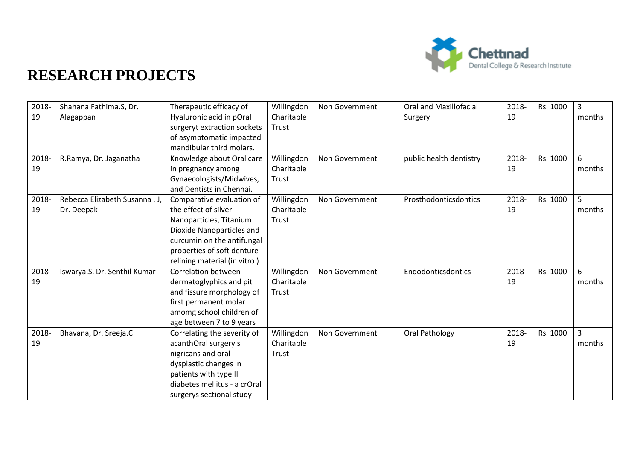

| 2018- | Shahana Fathima.S, Dr.         | Therapeutic efficacy of      | Willingdon | Non Government | <b>Oral and Maxillofacial</b> | 2018- | Rs. 1000 | $\overline{3}$ |
|-------|--------------------------------|------------------------------|------------|----------------|-------------------------------|-------|----------|----------------|
| 19    | Alagappan                      | Hyaluronic acid in pOral     | Charitable |                | Surgery                       | 19    |          | months         |
|       |                                | surgeryt extraction sockets  | Trust      |                |                               |       |          |                |
|       |                                | of asymptomatic impacted     |            |                |                               |       |          |                |
|       |                                | mandibular third molars.     |            |                |                               |       |          |                |
| 2018- | R.Ramya, Dr. Jaganatha         | Knowledge about Oral care    | Willingdon | Non Government | public health dentistry       | 2018- | Rs. 1000 | 6              |
| 19    |                                | in pregnancy among           | Charitable |                |                               | 19    |          | months         |
|       |                                | Gynaecologists/Midwives,     | Trust      |                |                               |       |          |                |
|       |                                | and Dentists in Chennai.     |            |                |                               |       |          |                |
| 2018- | Rebecca Elizabeth Susanna . J. | Comparative evaluation of    | Willingdon | Non Government | Prosthodonticsdontics         | 2018- | Rs. 1000 | 5              |
| 19    | Dr. Deepak                     | the effect of silver         | Charitable |                |                               | 19    |          | months         |
|       |                                | Nanoparticles, Titanium      | Trust      |                |                               |       |          |                |
|       |                                | Dioxide Nanoparticles and    |            |                |                               |       |          |                |
|       |                                | curcumin on the antifungal   |            |                |                               |       |          |                |
|       |                                | properties of soft denture   |            |                |                               |       |          |                |
|       |                                | relining material (in vitro) |            |                |                               |       |          |                |
| 2018- | Iswarya.S, Dr. Senthil Kumar   | <b>Correlation between</b>   | Willingdon | Non Government | Endodonticsdontics            | 2018- | Rs. 1000 | 6              |
| 19    |                                | dermatoglyphics and pit      | Charitable |                |                               | 19    |          | months         |
|       |                                | and fissure morphology of    | Trust      |                |                               |       |          |                |
|       |                                | first permanent molar        |            |                |                               |       |          |                |
|       |                                | amomg school children of     |            |                |                               |       |          |                |
|       |                                | age between 7 to 9 years     |            |                |                               |       |          |                |
| 2018- | Bhavana, Dr. Sreeja.C          | Correlating the severity of  | Willingdon | Non Government | Oral Pathology                | 2018- | Rs. 1000 | $\overline{3}$ |
| 19    |                                | acanthOral surgeryis         | Charitable |                |                               | 19    |          | months         |
|       |                                | nigricans and oral           | Trust      |                |                               |       |          |                |
|       |                                | dysplastic changes in        |            |                |                               |       |          |                |
|       |                                | patients with type II        |            |                |                               |       |          |                |
|       |                                | diabetes mellitus - a crOral |            |                |                               |       |          |                |
|       |                                | surgerys sectional study     |            |                |                               |       |          |                |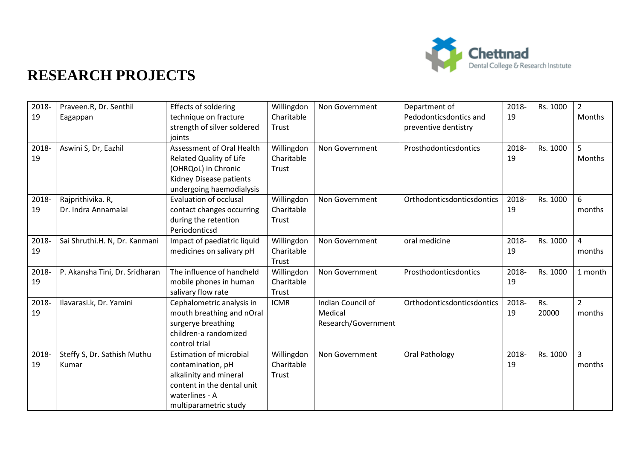

| 2018-<br>19 | Praveen.R, Dr. Senthil<br>Eagappan       | <b>Effects of soldering</b><br>technique on fracture<br>strength of silver soldered<br>joints                                                          | Willingdon<br>Charitable<br>Trust | Non Government                                      | Department of<br>Pedodonticsdontics and<br>preventive dentistry | 2018-<br>19 | Rs. 1000     | $\overline{2}$<br>Months |
|-------------|------------------------------------------|--------------------------------------------------------------------------------------------------------------------------------------------------------|-----------------------------------|-----------------------------------------------------|-----------------------------------------------------------------|-------------|--------------|--------------------------|
| 2018-<br>19 | Aswini S, Dr, Eazhil                     | <b>Assessment of Oral Health</b><br><b>Related Quality of Life</b><br>(OHRQoL) in Chronic<br>Kidney Disease patients<br>undergoing haemodialysis       | Willingdon<br>Charitable<br>Trust | Non Government                                      | Prosthodonticsdontics                                           | 2018-<br>19 | Rs. 1000     | 5<br>Months              |
| 2018-<br>19 | Rajprithivika. R,<br>Dr. Indra Annamalai | <b>Evaluation of occlusal</b><br>contact changes occurring<br>during the retention<br>Periodonticsd                                                    | Willingdon<br>Charitable<br>Trust | Non Government                                      | Orthodonticsdonticsdontics                                      | 2018-<br>19 | Rs. 1000     | 6<br>months              |
| 2018-<br>19 | Sai Shruthi.H. N, Dr. Kanmani            | Impact of paediatric liquid<br>medicines on salivary pH                                                                                                | Willingdon<br>Charitable<br>Trust | Non Government                                      | oral medicine                                                   | 2018-<br>19 | Rs. 1000     | $\overline{4}$<br>months |
| 2018-<br>19 | P. Akansha Tini, Dr. Sridharan           | The influence of handheld<br>mobile phones in human<br>salivary flow rate                                                                              | Willingdon<br>Charitable<br>Trust | Non Government                                      | Prosthodonticsdontics                                           | 2018-<br>19 | Rs. 1000     | 1 month                  |
| 2018-<br>19 | Ilavarasi.k, Dr. Yamini                  | Cephalometric analysis in<br>mouth breathing and nOral<br>surgerye breathing<br>children-a randomized<br>control trial                                 | <b>ICMR</b>                       | Indian Council of<br>Medical<br>Research/Government | Orthodonticsdonticsdontics                                      | 2018-<br>19 | Rs.<br>20000 | $\overline{2}$<br>months |
| 2018-<br>19 | Steffy S, Dr. Sathish Muthu<br>Kumar     | <b>Estimation of microbial</b><br>contamination, pH<br>alkalinity and mineral<br>content in the dental unit<br>waterlines - A<br>multiparametric study | Willingdon<br>Charitable<br>Trust | Non Government                                      | Oral Pathology                                                  | 2018-<br>19 | Rs. 1000     | $\overline{3}$<br>months |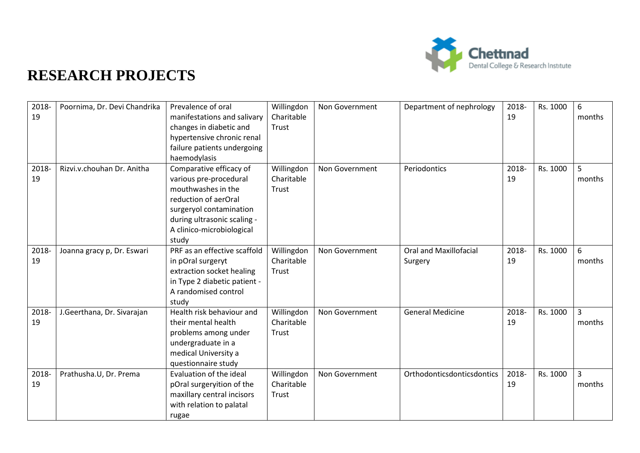

| 2018-<br>19 | Poornima, Dr. Devi Chandrika | Prevalence of oral<br>manifestations and salivary<br>changes in diabetic and<br>hypertensive chronic renal<br>failure patients undergoing<br>haemodylasis                                       | Willingdon<br>Charitable<br>Trust | Non Government | Department of nephrology                 | 2018-<br>19 | Rs. 1000 | 6<br>months              |
|-------------|------------------------------|-------------------------------------------------------------------------------------------------------------------------------------------------------------------------------------------------|-----------------------------------|----------------|------------------------------------------|-------------|----------|--------------------------|
| 2018-<br>19 | Rizvi.v.chouhan Dr. Anitha   | Comparative efficacy of<br>various pre-procedural<br>mouthwashes in the<br>reduction of aerOral<br>surgeryol contamination<br>during ultrasonic scaling -<br>A clinico-microbiological<br>study | Willingdon<br>Charitable<br>Trust | Non Government | Periodontics                             | 2018-<br>19 | Rs. 1000 | 5<br>months              |
| 2018-<br>19 | Joanna gracy p, Dr. Eswari   | PRF as an effective scaffold<br>in pOral surgeryt<br>extraction socket healing<br>in Type 2 diabetic patient -<br>A randomised control<br>study                                                 | Willingdon<br>Charitable<br>Trust | Non Government | <b>Oral and Maxillofacial</b><br>Surgery | 2018-<br>19 | Rs. 1000 | 6<br>months              |
| 2018-<br>19 | J.Geerthana, Dr. Sivarajan   | Health risk behaviour and<br>their mental health<br>problems among under<br>undergraduate in a<br>medical University a<br>questionnaire study                                                   | Willingdon<br>Charitable<br>Trust | Non Government | <b>General Medicine</b>                  | 2018-<br>19 | Rs. 1000 | 3<br>months              |
| 2018-<br>19 | Prathusha.U, Dr. Prema       | Evaluation of the ideal<br>pOral surgeryition of the<br>maxillary central incisors<br>with relation to palatal<br>rugae                                                                         | Willingdon<br>Charitable<br>Trust | Non Government | Orthodonticsdonticsdontics               | 2018-<br>19 | Rs. 1000 | $\overline{3}$<br>months |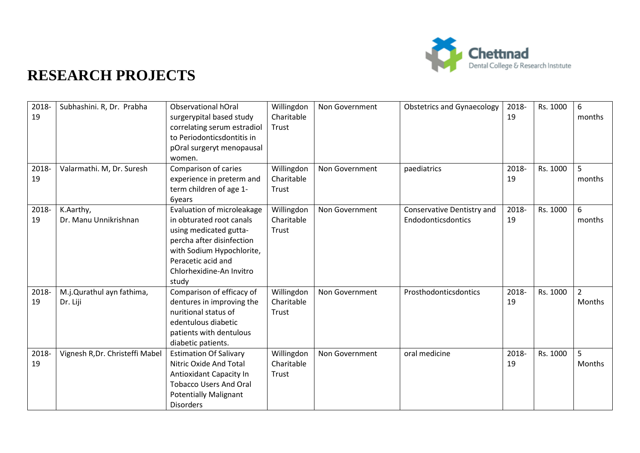

| 2018-<br>19 | Subhashini. R, Dr. Prabha             | Observational hOral<br>surgerypital based study<br>correlating serum estradiol<br>to Periodonticsdontitis in<br>pOral surgeryt menopausal<br>women.                                                   | Willingdon<br>Charitable<br>Trust | Non Government | <b>Obstetrics and Gynaecology</b>                | 2018-<br>19 | Rs. 1000 | 6<br>months              |
|-------------|---------------------------------------|-------------------------------------------------------------------------------------------------------------------------------------------------------------------------------------------------------|-----------------------------------|----------------|--------------------------------------------------|-------------|----------|--------------------------|
| 2018-<br>19 | Valarmathi. M, Dr. Suresh             | Comparison of caries<br>experience in preterm and<br>term children of age 1-<br>6years                                                                                                                | Willingdon<br>Charitable<br>Trust | Non Government | paediatrics                                      | 2018-<br>19 | Rs. 1000 | $\overline{5}$<br>months |
| 2018-<br>19 | K.Aarthy,<br>Dr. Manu Unnikrishnan    | Evaluation of microleakage<br>in obturated root canals<br>using medicated gutta-<br>percha after disinfection<br>with Sodium Hypochlorite,<br>Peracetic acid and<br>Chlorhexidine-An Invitro<br>study | Willingdon<br>Charitable<br>Trust | Non Government | Conservative Dentistry and<br>Endodonticsdontics | 2018-<br>19 | Rs. 1000 | 6<br>months              |
| 2018-<br>19 | M.j.Qurathul ayn fathima,<br>Dr. Liji | Comparison of efficacy of<br>dentures in improving the<br>nuritional status of<br>edentulous diabetic<br>patients with dentulous<br>diabetic patients.                                                | Willingdon<br>Charitable<br>Trust | Non Government | Prosthodonticsdontics                            | 2018-<br>19 | Rs. 1000 | $\overline{2}$<br>Months |
| 2018-<br>19 | Vignesh R, Dr. Christeffi Mabel       | <b>Estimation Of Salivary</b><br>Nitric Oxide And Total<br>Antioxidant Capacity In<br><b>Tobacco Users And Oral</b><br><b>Potentially Malignant</b><br><b>Disorders</b>                               | Willingdon<br>Charitable<br>Trust | Non Government | oral medicine                                    | 2018-<br>19 | Rs. 1000 | 5<br>Months              |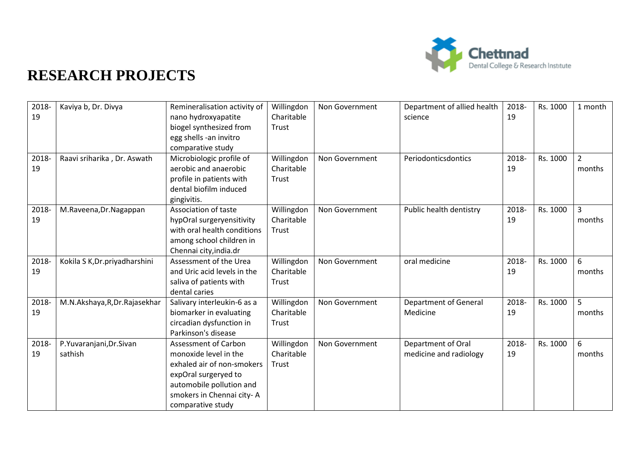

| 2018- | Kaviya b, Dr. Divya            | Remineralisation activity of | Willingdon | Non Government | Department of allied health  | 2018- | Rs. 1000 | 1 month        |
|-------|--------------------------------|------------------------------|------------|----------------|------------------------------|-------|----------|----------------|
| 19    |                                | nano hydroxyapatite          | Charitable |                | science                      | 19    |          |                |
|       |                                | biogel synthesized from      | Trust      |                |                              |       |          |                |
|       |                                | egg shells -an invitro       |            |                |                              |       |          |                |
|       |                                | comparative study            |            |                |                              |       |          |                |
| 2018- | Raavi sriharika, Dr. Aswath    | Microbiologic profile of     | Willingdon | Non Government | Periodonticsdontics          | 2018- | Rs. 1000 | $\overline{2}$ |
| 19    |                                | aerobic and anaerobic        | Charitable |                |                              | 19    |          | months         |
|       |                                | profile in patients with     | Trust      |                |                              |       |          |                |
|       |                                | dental biofilm induced       |            |                |                              |       |          |                |
|       |                                | gingivitis.                  |            |                |                              |       |          |                |
| 2018- | M.Raveena, Dr.Nagappan         | Association of taste         | Willingdon | Non Government | Public health dentistry      | 2018- | Rs. 1000 | 3              |
| 19    |                                | hypOral surgeryensitivity    | Charitable |                |                              | 19    |          | months         |
|       |                                | with oral health conditions  | Trust      |                |                              |       |          |                |
|       |                                | among school children in     |            |                |                              |       |          |                |
|       |                                | Chennai city, india.dr       |            |                |                              |       |          |                |
| 2018- | Kokila S K, Dr. priyadharshini | Assessment of the Urea       | Willingdon | Non Government | oral medicine                | 2018- | Rs. 1000 | 6              |
| 19    |                                | and Uric acid levels in the  | Charitable |                |                              | 19    |          | months         |
|       |                                | saliva of patients with      | Trust      |                |                              |       |          |                |
|       |                                | dental caries                |            |                |                              |       |          |                |
| 2018- | M.N.Akshaya, R, Dr. Rajasekhar | Salivary interleukin-6 as a  | Willingdon | Non Government | <b>Department of General</b> | 2018- | Rs. 1000 | 5              |
| 19    |                                | biomarker in evaluating      | Charitable |                | Medicine                     | 19    |          | months         |
|       |                                | circadian dysfunction in     | Trust      |                |                              |       |          |                |
|       |                                | Parkinson's disease          |            |                |                              |       |          |                |
| 2018- | P.Yuvaranjani, Dr. Sivan       | <b>Assessment of Carbon</b>  | Willingdon | Non Government | Department of Oral           | 2018- | Rs. 1000 | 6              |
| 19    | sathish                        | monoxide level in the        | Charitable |                | medicine and radiology       | 19    |          | months         |
|       |                                | exhaled air of non-smokers   | Trust      |                |                              |       |          |                |
|       |                                | expOral surgeryed to         |            |                |                              |       |          |                |
|       |                                | automobile pollution and     |            |                |                              |       |          |                |
|       |                                | smokers in Chennai city-A    |            |                |                              |       |          |                |
|       |                                | comparative study            |            |                |                              |       |          |                |